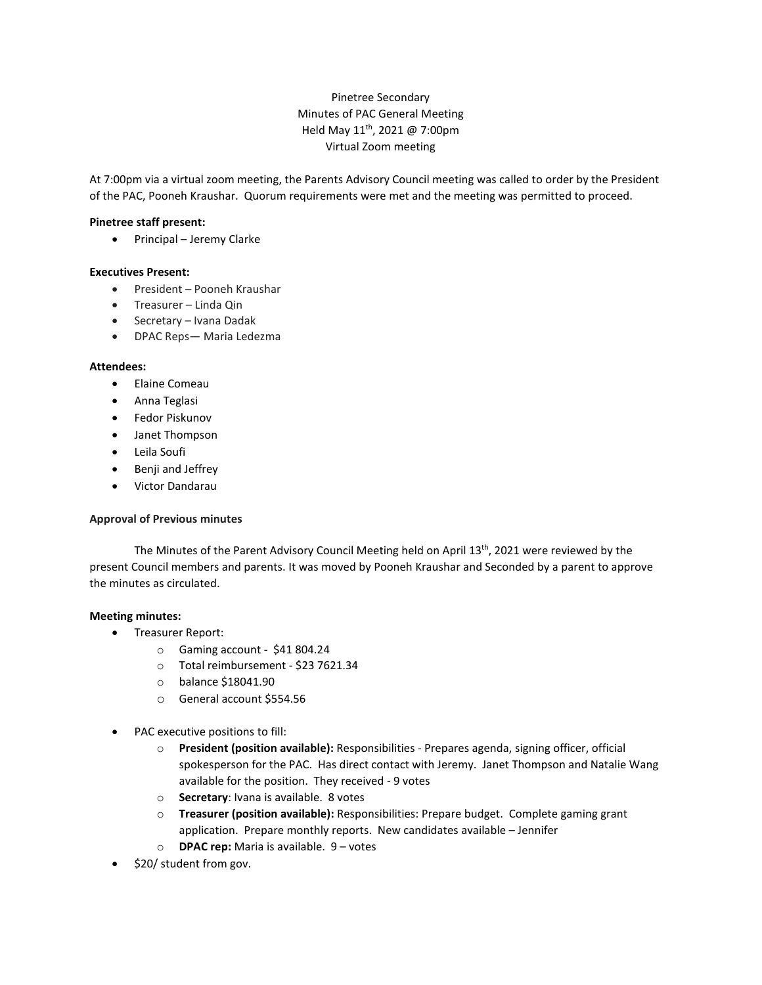# Pinetree Secondary Minutes of PAC General Meeting Held May 11th, 2021 @ 7:00pm Virtual Zoom meeting

At 7:00pm via a virtual zoom meeting, the Parents Advisory Council meeting was called to order by the President of the PAC, Pooneh Kraushar. Quorum requirements were met and the meeting was permitted to proceed.

### **Pinetree staff present:**

• Principal – Jeremy Clarke

#### **Executives Present:**

- President Pooneh Kraushar
- Treasurer Linda Qin
- Secretary Ivana Dadak
- DPAC Reps— Maria Ledezma

#### **Attendees:**

- Elaine Comeau
- Anna Teglasi
- Fedor Piskunov
- Janet Thompson
- Leila Soufi
- Benji and Jeffrey
- Victor Dandarau

#### **Approval of Previous minutes**

The Minutes of the Parent Advisory Council Meeting held on April 13<sup>th</sup>, 2021 were reviewed by the present Council members and parents. It was moved by Pooneh Kraushar and Seconded by a parent to approve the minutes as circulated.

#### **Meeting minutes:**

- Treasurer Report:
	- o Gaming account \$41 804.24
	- o Total reimbursement \$23 7621.34
	- o balance \$18041.90
	- o General account \$554.56
- PAC executive positions to fill:
	- o **President (position available):** Responsibilities Prepares agenda, signing officer, official spokesperson for the PAC. Has direct contact with Jeremy. Janet Thompson and Natalie Wang available for the position. They received - 9 votes
	- o **Secretary**: Ivana is available. 8 votes
	- o **Treasurer (position available):** Responsibilities: Prepare budget. Complete gaming grant application. Prepare monthly reports. New candidates available – Jennifer
	- o **DPAC rep:** Maria is available. 9 votes
- \$20/ student from gov.